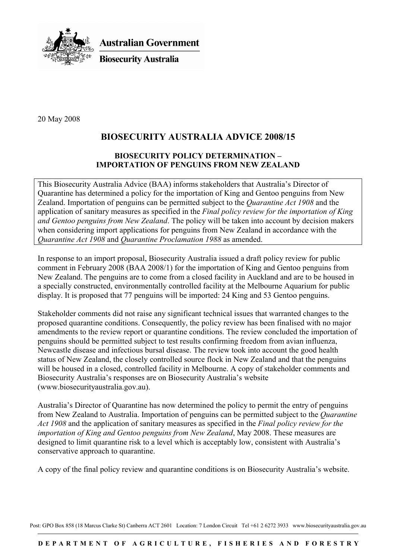

**Australian Government** 

**Biosecurity Australia** 

20 May 2008

## **BIOSECURITY AUSTRALIA ADVICE 2008/15**

## **BIOSECURITY POLICY DETERMINATION – IMPORTATION OF PENGUINS FROM NEW ZEALAND**

This Biosecurity Australia Advice (BAA) informs stakeholders that Australia's Director of Quarantine has determined a policy for the importation of King and Gentoo penguins from New Zealand. Importation of penguins can be permitted subject to the *Quarantine Act 1908* and the application of sanitary measures as specified in the *Final policy review for the importation of King and Gentoo penguins from New Zealand*. The policy will be taken into account by decision makers when considering import applications for penguins from New Zealand in accordance with the *Quarantine Act 1908* and *Quarantine Proclamation 1988* as amended.

In response to an import proposal, Biosecurity Australia issued a draft policy review for public comment in February 2008 (BAA 2008/1) for the importation of King and Gentoo penguins from New Zealand. The penguins are to come from a closed facility in Auckland and are to be housed in a specially constructed, environmentally controlled facility at the Melbourne Aquarium for public display. It is proposed that 77 penguins will be imported: 24 King and 53 Gentoo penguins.

Stakeholder comments did not raise any significant technical issues that warranted changes to the proposed quarantine conditions. Consequently, the policy review has been finalised with no major amendments to the review report or quarantine conditions. The review concluded the importation of penguins should be permitted subject to test results confirming freedom from avian influenza, Newcastle disease and infectious bursal disease. The review took into account the good health status of New Zealand, the closely controlled source flock in New Zealand and that the penguins will be housed in a closed, controlled facility in Melbourne. A copy of stakeholder comments and Biosecurity Australia's responses are on Biosecurity Australia's website (www.biosecurityaustralia.gov.au).

Australia's Director of Quarantine has now determined the policy to permit the entry of penguins from New Zealand to Australia. Importation of penguins can be permitted subject to the *Quarantine Act 1908* and the application of sanitary measures as specified in the *Final policy review for the importation of King and Gentoo penguins from New Zealand*, May 2008. These measures are designed to limit quarantine risk to a level which is acceptably low, consistent with Australia's conservative approach to quarantine.

A copy of the final policy review and quarantine conditions is on Biosecurity Australia's website.

Post: GPO Box 858 (18 Marcus Clarke St) Canberra ACT 2601 Location: 7 London Circuit Tel +61 2 6272 3933 www.biosecurityaustralia.gov.au